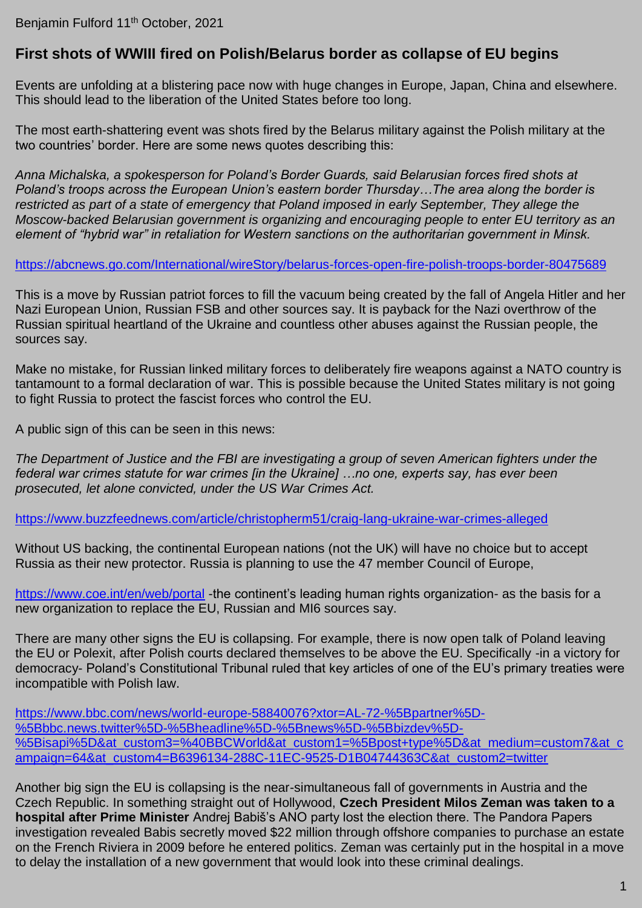## **First shots of WWIII fired on Polish/Belarus border as collapse of EU begins**

Events are unfolding at a blistering pace now with huge changes in Europe, Japan, China and elsewhere. This should lead to the liberation of the United States before too long.

The most earth-shattering event was shots fired by the Belarus military against the Polish military at the two countries' border. Here are some news quotes describing this:

*Anna Michalska, a spokesperson for Poland's Border Guards, said Belarusian forces fired shots at Poland's troops across the European Union's eastern border Thursday…The area along the border is restricted as part of a state of emergency that Poland imposed in early September, They allege the Moscow-backed Belarusian government is organizing and encouraging people to enter EU territory as an element of "hybrid war" in retaliation for Western sanctions on the authoritarian government in Minsk.*

## <https://abcnews.go.com/International/wireStory/belarus-forces-open-fire-polish-troops-border-80475689>

This is a move by Russian patriot forces to fill the vacuum being created by the fall of Angela Hitler and her Nazi European Union, Russian FSB and other sources say. It is payback for the Nazi overthrow of the Russian spiritual heartland of the Ukraine and countless other abuses against the Russian people, the sources say.

Make no mistake, for Russian linked military forces to deliberately fire weapons against a NATO country is tantamount to a formal declaration of war. This is possible because the United States military is not going to fight Russia to protect the fascist forces who control the EU.

A public sign of this can be seen in this news:

*The Department of Justice and the FBI are investigating a group of seven American fighters under the federal war crimes statute for war crimes [in the Ukraine] …no one, experts say, has ever been prosecuted, let alone convicted, under the US War Crimes Act.*

<https://www.buzzfeednews.com/article/christopherm51/craig-lang-ukraine-war-crimes-alleged>

Without US backing, the continental European nations (not the UK) will have no choice but to accept Russia as their new protector. Russia is planning to use the 47 member Council of Europe,

<https://www.coe.int/en/web/portal> -the continent's leading human rights organization- as the basis for a new organization to replace the EU, Russian and MI6 sources say.

There are many other signs the EU is collapsing. For example, there is now open talk of Poland leaving the EU or Polexit, after Polish courts declared themselves to be above the EU. Specifically -in a victory for democracy- Poland's Constitutional Tribunal ruled that key articles of one of the EU's primary treaties were incompatible with Polish law.

[https://www.bbc.com/news/world-europe-58840076?xtor=AL-72-%5Bpartner%5D-](https://www.bbc.com/news/world-europe-58840076?xtor=AL-72-%5Bpartner%5D-%5Bbbc.news.twitter%5D-%5Bheadline%5D-%5Bnews%5D-%5Bbizdev%5D-%5Bisapi%5D&at_custom3=%40BBCWorld&at_custom1=%5Bpost+type%5D&at_medium=custom7&at_campaign=64&at_custom4=B6396134-288C-11EC-9525-D1B04744363C&at_custom2=twitter) [%5Bbbc.news.twitter%5D-%5Bheadline%5D-%5Bnews%5D-%5Bbizdev%5D-](https://www.bbc.com/news/world-europe-58840076?xtor=AL-72-%5Bpartner%5D-%5Bbbc.news.twitter%5D-%5Bheadline%5D-%5Bnews%5D-%5Bbizdev%5D-%5Bisapi%5D&at_custom3=%40BBCWorld&at_custom1=%5Bpost+type%5D&at_medium=custom7&at_campaign=64&at_custom4=B6396134-288C-11EC-9525-D1B04744363C&at_custom2=twitter) [%5Bisapi%5D&at\\_custom3=%40BBCWorld&at\\_custom1=%5Bpost+type%5D&at\\_medium=custom7&at\\_c](https://www.bbc.com/news/world-europe-58840076?xtor=AL-72-%5Bpartner%5D-%5Bbbc.news.twitter%5D-%5Bheadline%5D-%5Bnews%5D-%5Bbizdev%5D-%5Bisapi%5D&at_custom3=%40BBCWorld&at_custom1=%5Bpost+type%5D&at_medium=custom7&at_campaign=64&at_custom4=B6396134-288C-11EC-9525-D1B04744363C&at_custom2=twitter) [ampaign=64&at\\_custom4=B6396134-288C-11EC-9525-D1B04744363C&at\\_custom2=twitter](https://www.bbc.com/news/world-europe-58840076?xtor=AL-72-%5Bpartner%5D-%5Bbbc.news.twitter%5D-%5Bheadline%5D-%5Bnews%5D-%5Bbizdev%5D-%5Bisapi%5D&at_custom3=%40BBCWorld&at_custom1=%5Bpost+type%5D&at_medium=custom7&at_campaign=64&at_custom4=B6396134-288C-11EC-9525-D1B04744363C&at_custom2=twitter)

Another big sign the EU is collapsing is the near-simultaneous fall of governments in Austria and the Czech Republic. In something straight out of Hollywood, **Czech President Milos Zeman was taken to a hospital after Prime Minister** Andrej Babiš's ANO party lost the election there. The Pandora Papers investigation revealed Babis secretly moved \$22 million through offshore companies to purchase an estate on the French Riviera in 2009 before he entered politics. Zeman was certainly put in the hospital in a move to delay the installation of a new government that would look into these criminal dealings.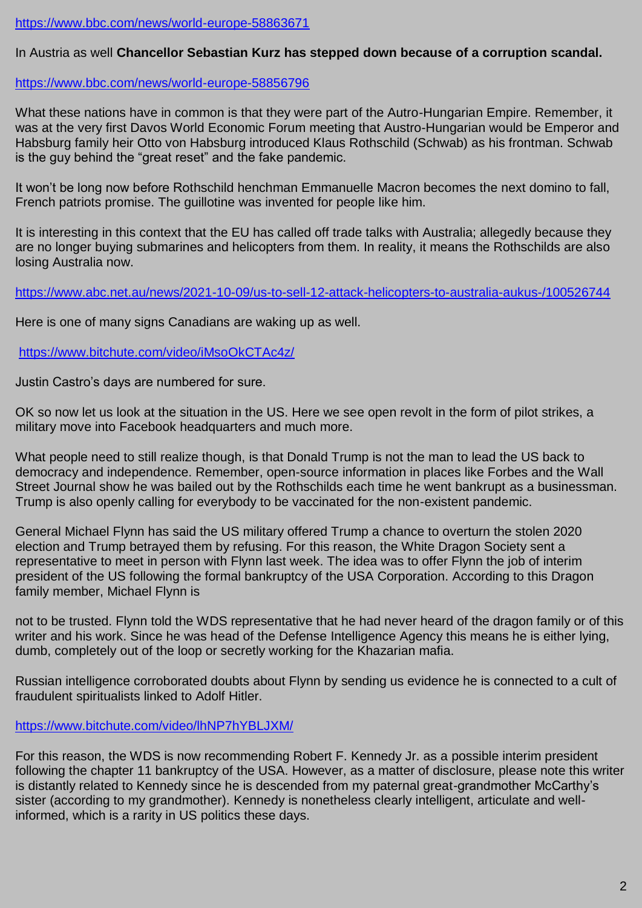<https://www.bbc.com/news/world-europe-58863671>

## In Austria as well **Chancellor Sebastian Kurz has stepped down because of a corruption scandal.**

<https://www.bbc.com/news/world-europe-58856796>

What these nations have in common is that they were part of the Autro-Hungarian Empire. Remember, it was at the very first Davos World Economic Forum meeting that Austro-Hungarian would be Emperor and Habsburg family heir Otto von Habsburg introduced Klaus Rothschild (Schwab) as his frontman. Schwab is the guy behind the "great reset" and the fake pandemic.

It won't be long now before Rothschild henchman Emmanuelle Macron becomes the next domino to fall, French patriots promise. The guillotine was invented for people like him.

It is interesting in this context that the EU has called off trade talks with Australia; allegedly because they are no longer buying submarines and helicopters from them. In reality, it means the Rothschilds are also losing Australia now.

<https://www.abc.net.au/news/2021-10-09/us-to-sell-12-attack-helicopters-to-australia-aukus-/100526744>

Here is one of many signs Canadians are waking up as well.

<https://www.bitchute.com/video/iMsoOkCTAc4z/>

Justin Castro's days are numbered for sure.

OK so now let us look at the situation in the US. Here we see open revolt in the form of pilot strikes, a military move into Facebook headquarters and much more.

What people need to still realize though, is that Donald Trump is not the man to lead the US back to democracy and independence. Remember, open-source information in places like Forbes and the Wall Street Journal show he was bailed out by the Rothschilds each time he went bankrupt as a businessman. Trump is also openly calling for everybody to be vaccinated for the non-existent pandemic.

General Michael Flynn has said the US military offered Trump a chance to overturn the stolen 2020 election and Trump betrayed them by refusing. For this reason, the White Dragon Society sent a representative to meet in person with Flynn last week. The idea was to offer Flynn the job of interim president of the US following the formal bankruptcy of the USA Corporation. According to this Dragon family member, Michael Flynn is

not to be trusted. Flynn told the WDS representative that he had never heard of the dragon family or of this writer and his work. Since he was head of the Defense Intelligence Agency this means he is either lying, dumb, completely out of the loop or secretly working for the Khazarian mafia.

Russian intelligence corroborated doubts about Flynn by sending us evidence he is connected to a cult of fraudulent spiritualists linked to Adolf Hitler.

<https://www.bitchute.com/video/lhNP7hYBLJXM/>

For this reason, the WDS is now recommending Robert F. Kennedy Jr. as a possible interim president following the chapter 11 bankruptcy of the USA. However, as a matter of disclosure, please note this writer is distantly related to Kennedy since he is descended from my paternal great-grandmother McCarthy's sister (according to my grandmother). Kennedy is nonetheless clearly intelligent, articulate and wellinformed, which is a rarity in US politics these days.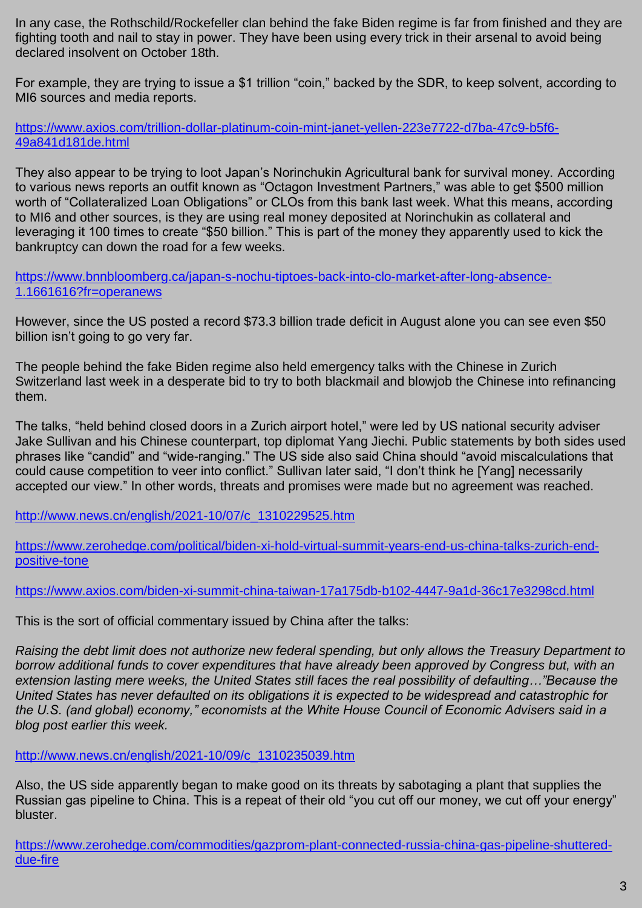In any case, the Rothschild/Rockefeller clan behind the fake Biden regime is far from finished and they are fighting tooth and nail to stay in power. They have been using every trick in their arsenal to avoid being declared insolvent on October 18th.

For example, they are trying to issue a \$1 trillion "coin," backed by the SDR, to keep solvent, according to MI6 sources and media reports.

[https://www.axios.com/trillion-dollar-platinum-coin-mint-janet-yellen-223e7722-d7ba-47c9-b5f6-](https://www.axios.com/trillion-dollar-platinum-coin-mint-janet-yellen-223e7722-d7ba-47c9-b5f6-49a841d181de.html) [49a841d181de.html](https://www.axios.com/trillion-dollar-platinum-coin-mint-janet-yellen-223e7722-d7ba-47c9-b5f6-49a841d181de.html)

They also appear to be trying to loot Japan's Norinchukin Agricultural bank for survival money. According to various news reports an outfit known as "Octagon Investment Partners," was able to get \$500 million worth of "Collateralized Loan Obligations" or CLOs from this bank last week. What this means, according to MI6 and other sources, is they are using real money deposited at Norinchukin as collateral and leveraging it 100 times to create "\$50 billion." This is part of the money they apparently used to kick the bankruptcy can down the road for a few weeks.

[https://www.bnnbloomberg.ca/japan-s-nochu-tiptoes-back-into-clo-market-after-long-absence-](https://www.bnnbloomberg.ca/japan-s-nochu-tiptoes-back-into-clo-market-after-long-absence-1.1661616?fr=operanews)[1.1661616?fr=operanews](https://www.bnnbloomberg.ca/japan-s-nochu-tiptoes-back-into-clo-market-after-long-absence-1.1661616?fr=operanews)

However, since the US posted a record \$73.3 billion trade deficit in August alone you can see even \$50 billion isn't going to go very far.

The people behind the fake Biden regime also held emergency talks with the Chinese in Zurich Switzerland last week in a desperate bid to try to both blackmail and blowjob the Chinese into refinancing them.

The talks, "held behind closed doors in a Zurich airport hotel," were led by US national security adviser Jake Sullivan and his Chinese counterpart, top diplomat Yang Jiechi. Public statements by both sides used phrases like "candid" and "wide-ranging." The US side also said China should "avoid miscalculations that could cause competition to veer into conflict." Sullivan later said, "I don't think he [Yang] necessarily accepted our view." In other words, threats and promises were made but no agreement was reached.

[http://www.news.cn/english/2021-10/07/c\\_1310229525.htm](http://www.news.cn/english/2021-10/07/c_1310229525.htm)

[https://www.zerohedge.com/political/biden-xi-hold-virtual-summit-years-end-us-china-talks-zurich-end](https://www.zerohedge.com/political/biden-xi-hold-virtual-summit-years-end-us-china-talks-zurich-end-positive-tone)[positive-tone](https://www.zerohedge.com/political/biden-xi-hold-virtual-summit-years-end-us-china-talks-zurich-end-positive-tone)

<https://www.axios.com/biden-xi-summit-china-taiwan-17a175db-b102-4447-9a1d-36c17e3298cd.html>

This is the sort of official commentary issued by China after the talks:

*Raising the debt limit does not authorize new federal spending, but only allows the Treasury Department to borrow additional funds to cover expenditures that have already been approved by Congress but, with an extension lasting mere weeks, the United States still faces the real possibility of defaulting…"Because the United States has never defaulted on its obligations it is expected to be widespread and catastrophic for the U.S. (and global) economy," economists at the White House Council of Economic Advisers said in a blog post earlier this week.*

[http://www.news.cn/english/2021-10/09/c\\_1310235039.htm](http://www.news.cn/english/2021-10/09/c_1310235039.htm)

Also, the US side apparently began to make good on its threats by sabotaging a plant that supplies the Russian gas pipeline to China. This is a repeat of their old "you cut off our money, we cut off your energy" bluster.

[https://www.zerohedge.com/commodities/gazprom-plant-connected-russia-china-gas-pipeline-shuttered](https://www.zerohedge.com/commodities/gazprom-plant-connected-russia-china-gas-pipeline-shuttered-due-fire)[due-fire](https://www.zerohedge.com/commodities/gazprom-plant-connected-russia-china-gas-pipeline-shuttered-due-fire)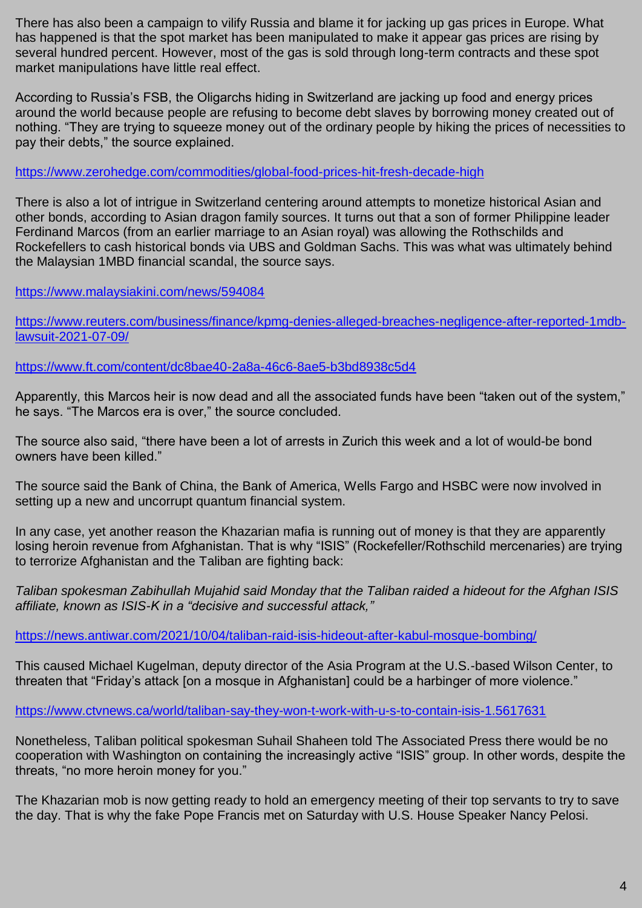There has also been a campaign to vilify Russia and blame it for jacking up gas prices in Europe. What has happened is that the spot market has been manipulated to make it appear gas prices are rising by several hundred percent. However, most of the gas is sold through long-term contracts and these spot market manipulations have little real effect.

According to Russia's FSB, the Oligarchs hiding in Switzerland are jacking up food and energy prices around the world because people are refusing to become debt slaves by borrowing money created out of nothing. "They are trying to squeeze money out of the ordinary people by hiking the prices of necessities to pay their debts," the source explained.

## <https://www.zerohedge.com/commodities/global-food-prices-hit-fresh-decade-high>

There is also a lot of intrigue in Switzerland centering around attempts to monetize historical Asian and other bonds, according to Asian dragon family sources. It turns out that a son of former Philippine leader Ferdinand Marcos (from an earlier marriage to an Asian royal) was allowing the Rothschilds and Rockefellers to cash historical bonds via UBS and Goldman Sachs. This was what was ultimately behind the Malaysian 1MBD financial scandal, the source says.

<https://www.malaysiakini.com/news/594084>

[https://www.reuters.com/business/finance/kpmg-denies-alleged-breaches-negligence-after-reported-1mdb](https://www.reuters.com/business/finance/kpmg-denies-alleged-breaches-negligence-after-reported-1mdb-lawsuit-2021-07-09/)[lawsuit-2021-07-09/](https://www.reuters.com/business/finance/kpmg-denies-alleged-breaches-negligence-after-reported-1mdb-lawsuit-2021-07-09/)

<https://www.ft.com/content/dc8bae40-2a8a-46c6-8ae5-b3bd8938c5d4>

Apparently, this Marcos heir is now dead and all the associated funds have been "taken out of the system," he says. "The Marcos era is over," the source concluded.

The source also said, "there have been a lot of arrests in Zurich this week and a lot of would-be bond owners have been killed."

The source said the Bank of China, the Bank of America, Wells Fargo and HSBC were now involved in setting up a new and uncorrupt quantum financial system.

In any case, yet another reason the Khazarian mafia is running out of money is that they are apparently losing heroin revenue from Afghanistan. That is why "ISIS" (Rockefeller/Rothschild mercenaries) are trying to terrorize Afghanistan and the Taliban are fighting back:

*Taliban spokesman Zabihullah Mujahid [said Monday that the Taliban raided a hideout for the Afghan ISIS](https://apnews.com/article/afghanistan-bombings-kabul-taliban-islamic-state-group-7e7533c5af5854d7555474b138461c8d)  [affiliate,](https://apnews.com/article/afghanistan-bombings-kabul-taliban-islamic-state-group-7e7533c5af5854d7555474b138461c8d) known as ISIS-K in a "decisive and successful attack,"*

<https://news.antiwar.com/2021/10/04/taliban-raid-isis-hideout-after-kabul-mosque-bombing/>

This caused Michael Kugelman, deputy director of the Asia Program at the U.S.-based Wilson Center, to threaten that "Friday's attack [on a mosque in Afghanistan] could be a harbinger of more violence."

<https://www.ctvnews.ca/world/taliban-say-they-won-t-work-with-u-s-to-contain-isis-1.5617631>

Nonetheless, Taliban political spokesman Suhail Shaheen told The Associated Press there would be no cooperation with Washington on containing the increasingly active "ISIS" group. In other words, despite the threats, "no more heroin money for you."

The Khazarian mob is now getting ready to hold an emergency meeting of their top servants to try to save the day. That is why the fake Pope Francis met on Saturday with U.S. House Speaker Nancy Pelosi.